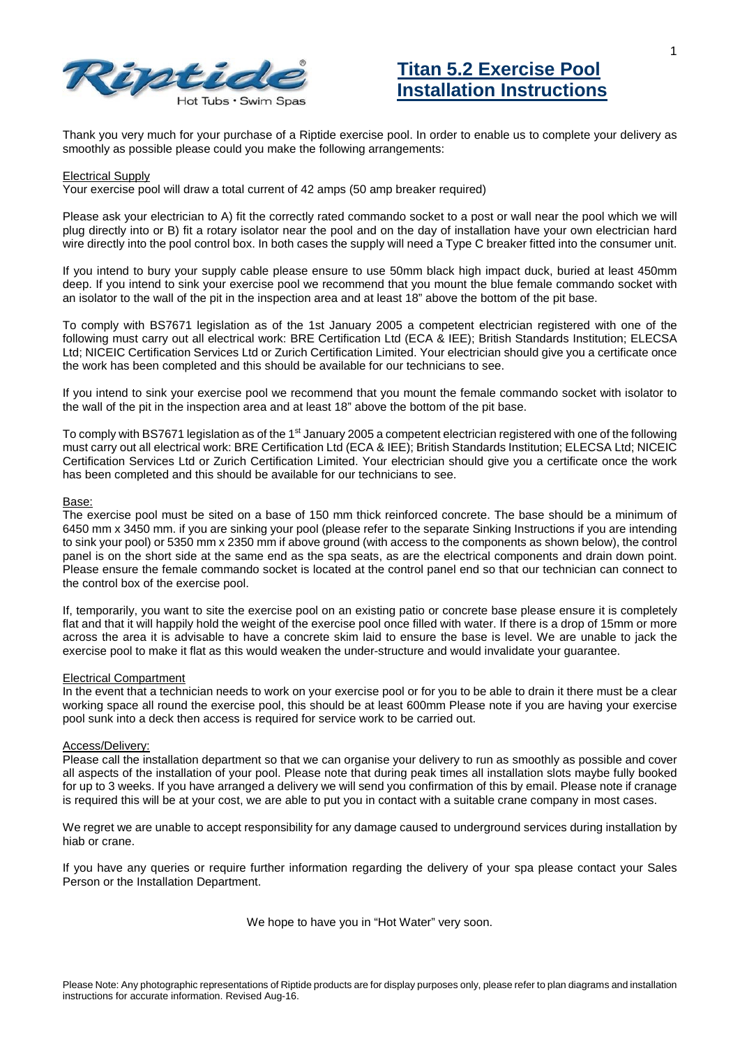



Thank you very much for your purchase of a Riptide exercise pool. In order to enable us to complete your delivery as smoothly as possible please could you make the following arrangements:

## Electrical Supply

Your exercise pool will draw a total current of 42 amps (50 amp breaker required)

Please ask your electrician to A) fit the correctly rated commando socket to a post or wall near the pool which we will plug directly into or B) fit a rotary isolator near the pool and on the day of installation have your own electrician hard wire directly into the pool control box. In both cases the supply will need a Type C breaker fitted into the consumer unit.

If you intend to bury your supply cable please ensure to use 50mm black high impact duck, buried at least 450mm deep. If you intend to sink your exercise pool we recommend that you mount the blue female commando socket with an isolator to the wall of the pit in the inspection area and at least 18" above the bottom of the pit base.

To comply with BS7671 legislation as of the 1st January 2005 a competent electrician registered with one of the following must carry out all electrical work: BRE Certification Ltd (ECA & IEE); British Standards Institution; ELECSA Ltd; NICEIC Certification Services Ltd or Zurich Certification Limited. Your electrician should give you a certificate once the work has been completed and this should be available for our technicians to see.

If you intend to sink your exercise pool we recommend that you mount the female commando socket with isolator to the wall of the pit in the inspection area and at least 18" above the bottom of the pit base.

To comply with BS7671 legislation as of the 1<sup>st</sup> January 2005 a competent electrician registered with one of the following must carry out all electrical work: BRE Certification Ltd (ECA & IEE); British Standards Institution; ELECSA Ltd; NICEIC Certification Services Ltd or Zurich Certification Limited. Your electrician should give you a certificate once the work has been completed and this should be available for our technicians to see.

## Base:

The exercise pool must be sited on a base of 150 mm thick reinforced concrete. The base should be a minimum of 6450 mm x 3450 mm. if you are sinking your pool (please refer to the separate Sinking Instructions if you are intending to sink your pool) or 5350 mm x 2350 mm if above ground (with access to the components as shown below), the control panel is on the short side at the same end as the spa seats, as are the electrical components and drain down point. Please ensure the female commando socket is located at the control panel end so that our technician can connect to the control box of the exercise pool.

If, temporarily, you want to site the exercise pool on an existing patio or concrete base please ensure it is completely flat and that it will happily hold the weight of the exercise pool once filled with water. If there is a drop of 15mm or more across the area it is advisable to have a concrete skim laid to ensure the base is level. We are unable to jack the exercise pool to make it flat as this would weaken the under-structure and would invalidate your guarantee.

## Electrical Compartment

In the event that a technician needs to work on your exercise pool or for you to be able to drain it there must be a clear working space all round the exercise pool, this should be at least 600mm Please note if you are having your exercise pool sunk into a deck then access is required for service work to be carried out.

## Access/Delivery:

Please call the installation department so that we can organise your delivery to run as smoothly as possible and cover all aspects of the installation of your pool. Please note that during peak times all installation slots maybe fully booked for up to 3 weeks. If you have arranged a delivery we will send you confirmation of this by email. Please note if cranage is required this will be at your cost, we are able to put you in contact with a suitable crane company in most cases.

We regret we are unable to accept responsibility for any damage caused to underground services during installation by hiab or crane.

If you have any queries or require further information regarding the delivery of your spa please contact your Sales Person or the Installation Department.

We hope to have you in "Hot Water" very soon.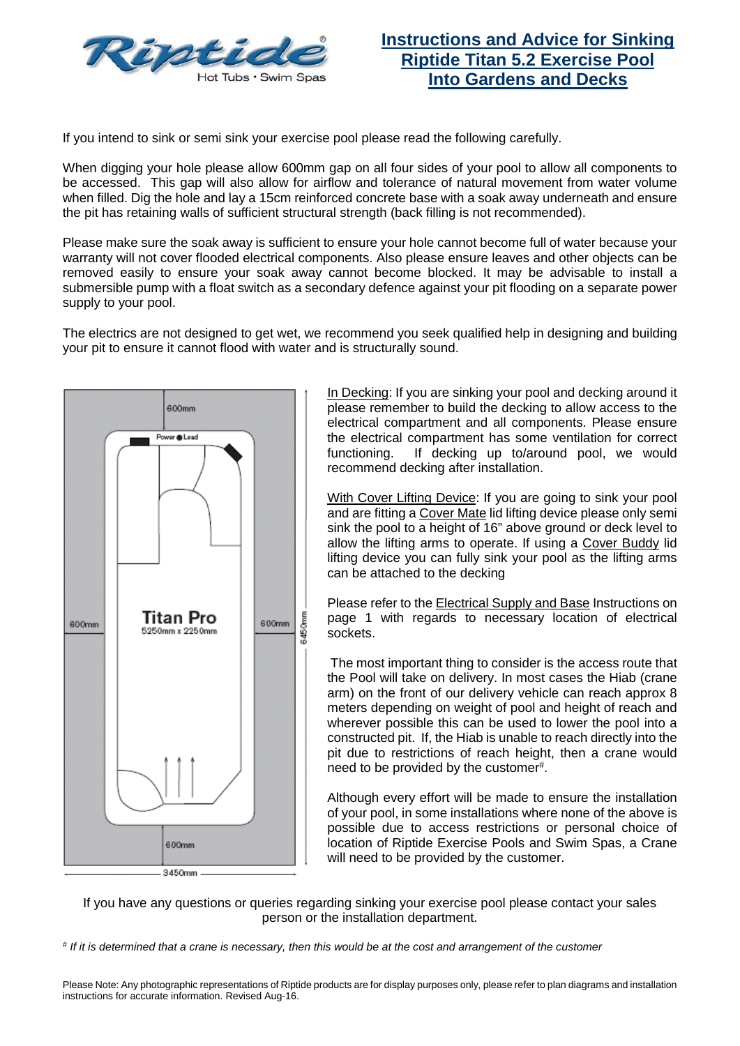

If you intend to sink or semi sink your exercise pool please read the following carefully.

When digging your hole please allow 600mm gap on all four sides of your pool to allow all components to be accessed. This gap will also allow for airflow and tolerance of natural movement from water volume when filled. Dig the hole and lay a 15cm reinforced concrete base with a soak away underneath and ensure the pit has retaining walls of sufficient structural strength (back filling is not recommended).

Please make sure the soak away is sufficient to ensure your hole cannot become full of water because your warranty will not cover flooded electrical components. Also please ensure leaves and other objects can be removed easily to ensure your soak away cannot become blocked. It may be advisable to install a submersible pump with a float switch as a secondary defence against your pit flooding on a separate power supply to your pool.

The electrics are not designed to get wet, we recommend you seek qualified help in designing and building your pit to ensure it cannot flood with water and is structurally sound.



In Decking: If you are sinking your pool and decking around it please remember to build the decking to allow access to the electrical compartment and all components. Please ensure the electrical compartment has some ventilation for correct functioning. If decking up to/around pool, we would recommend decking after installation.

With Cover Lifting Device: If you are going to sink your pool and are fitting a Cover Mate lid lifting device please only semi sink the pool to a height of 16" above ground or deck level to allow the lifting arms to operate. If using a Cover Buddy lid lifting device you can fully sink your pool as the lifting arms can be attached to the decking

Please refer to the Electrical Supply and Base Instructions on page 1 with regards to necessary location of electrical sockets.

The most important thing to consider is the access route that the Pool will take on delivery. In most cases the Hiab (crane arm) on the front of our delivery vehicle can reach approx 8 meters depending on weight of pool and height of reach and wherever possible this can be used to lower the pool into a constructed pit. If, the Hiab is unable to reach directly into the pit due to restrictions of reach height, then a crane would need to be provided by the customer#.

Although every effort will be made to ensure the installation of your pool, in some installations where none of the above is possible due to access restrictions or personal choice of location of Riptide Exercise Pools and Swim Spas, a Crane will need to be provided by the customer.

If you have any questions or queries regarding sinking your exercise pool please contact your sales person or the installation department.

*# If it is determined that a crane is necessary, then this would be at the cost and arrangement of the customer*